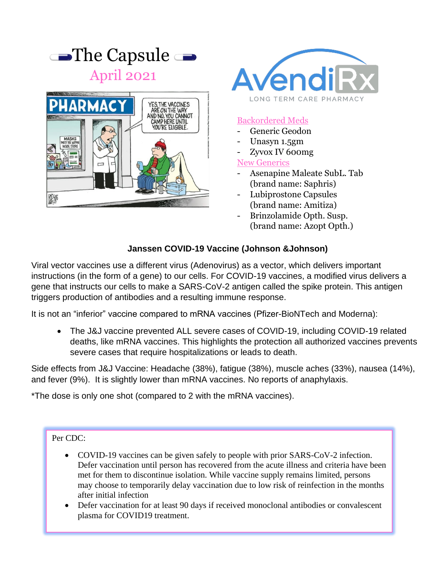

April 2021





### Backordered Meds

- Generic Geodon
- Unasyn 1.5gm
- Zyvox IV 600mg

New Generics

- Asenapine Maleate SubL. Tab (brand name: Saphris)
- Lubiprostone Capsules (brand name: Amitiza)
- Brinzolamide Opth. Susp. (brand name: Azopt Opth.)

# **Janssen COVID-19 Vaccine (Johnson &Johnson)**

Viral vector vaccines use a different virus (Adenovirus) as a vector, which delivers important instructions (in the form of a gene) to our cells. For COVID-19 vaccines, a modified virus delivers a gene that instructs our cells to make a SARS-CoV-2 antigen called the spike protein. This antigen triggers production of antibodies and a resulting immune response.

It is not an "inferior" vaccine compared to mRNA vaccines (Pfizer-BioNTech and Moderna):

• The J&J vaccine prevented ALL severe cases of COVID-19, including COVID-19 related deaths, like mRNA vaccines. This highlights the protection all authorized vaccines prevents severe cases that require hospitalizations or leads to death.

Side effects from J&J Vaccine: Headache (38%), fatigue (38%), muscle aches (33%), nausea (14%), and fever (9%). It is slightly lower than mRNA vaccines. No reports of anaphylaxis.

\*The dose is only one shot (compared to 2 with the mRNA vaccines).

#### Per CDC:

- COVID-19 vaccines can be given safely to people with prior SARS-CoV-2 infection. Defer vaccination until person has recovered from the acute illness and criteria have been met for them to discontinue isolation. While vaccine supply remains limited, persons may choose to temporarily delay vaccination due to low risk of reinfection in the months after initial infection
- Defer vaccination for at least 90 days if received monoclonal antibodies or convalescent plasma for COVID19 treatment.